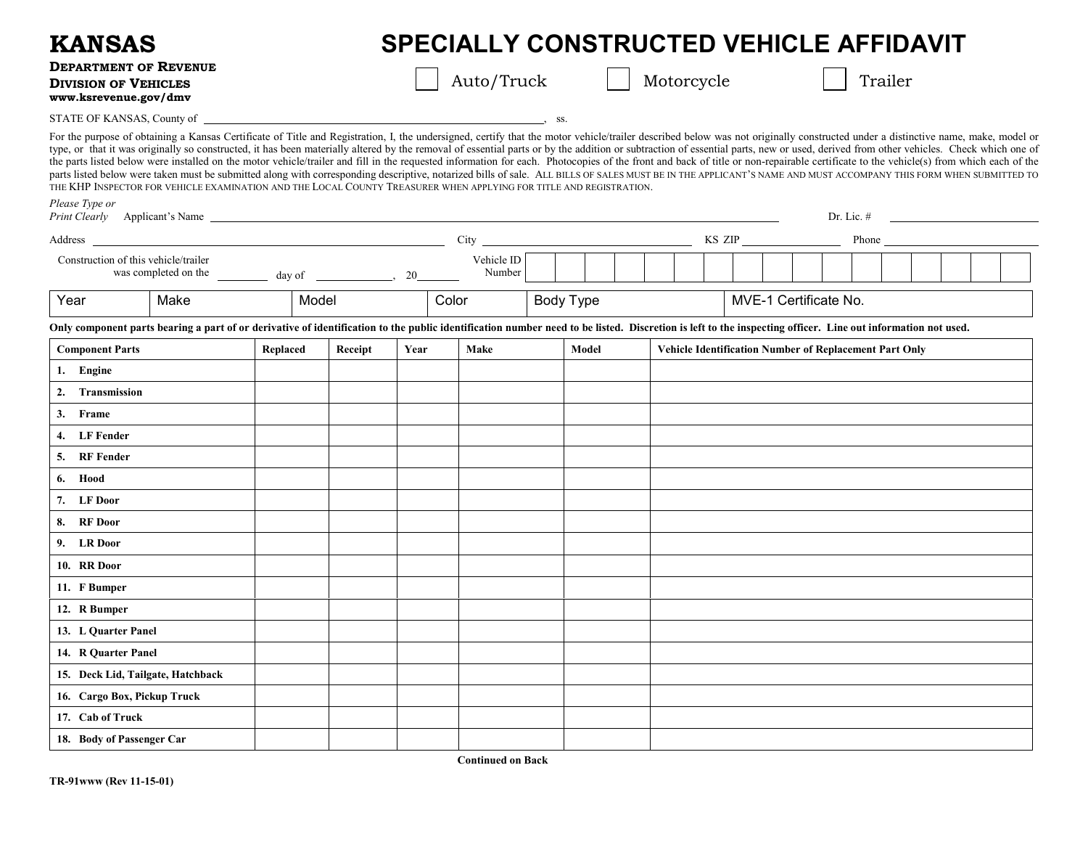| <b>KANSAS</b>                                                                                                                                                                                                                  | <b>SPECIALLY CONSTRUCTED VEHICLE AFFIDAVIT</b>                                                                                                                                                                                                                                                                                                                                                                                                                                                                                                                                                                                                                                                                                                                                                                                                                                                                                                                                                                                              |          |         |            |                      |  |           |            |                                                        |  |         |                       |  |               |  |  |  |  |
|--------------------------------------------------------------------------------------------------------------------------------------------------------------------------------------------------------------------------------|---------------------------------------------------------------------------------------------------------------------------------------------------------------------------------------------------------------------------------------------------------------------------------------------------------------------------------------------------------------------------------------------------------------------------------------------------------------------------------------------------------------------------------------------------------------------------------------------------------------------------------------------------------------------------------------------------------------------------------------------------------------------------------------------------------------------------------------------------------------------------------------------------------------------------------------------------------------------------------------------------------------------------------------------|----------|---------|------------|----------------------|--|-----------|------------|--------------------------------------------------------|--|---------|-----------------------|--|---------------|--|--|--|--|
| <b>DEPARTMENT OF REVENUE</b><br><b>DIVISION OF VEHICLES</b><br>www.ksrevenue.gov/dmv                                                                                                                                           |                                                                                                                                                                                                                                                                                                                                                                                                                                                                                                                                                                                                                                                                                                                                                                                                                                                                                                                                                                                                                                             |          |         | Auto/Truck |                      |  |           | Motorcycle |                                                        |  | Trailer |                       |  |               |  |  |  |  |
|                                                                                                                                                                                                                                |                                                                                                                                                                                                                                                                                                                                                                                                                                                                                                                                                                                                                                                                                                                                                                                                                                                                                                                                                                                                                                             |          |         |            | $\sim$ SS.           |  |           |            |                                                        |  |         |                       |  |               |  |  |  |  |
|                                                                                                                                                                                                                                | For the purpose of obtaining a Kansas Certificate of Title and Registration, I, the undersigned, certify that the motor vehicle/trailer described below was not originally constructed under a distinctive name, make, model o<br>type, or that it was originally so constructed, it has been materially altered by the removal of essential parts or by the addition or subtraction of essential parts, new or used, derived from other vehicles. Check which o<br>the parts listed below were installed on the motor vehicle/trailer and fill in the requested information for each. Photocopies of the front and back of title or non-repairable certificate to the vehicle(s) from which each<br>parts listed below were taken must be submitted along with corresponding descriptive, notarized bills of sale. ALL BILLS OF SALES MUST BE IN THE APPLICANT'S NAME AND MUST ACCOMPANY THIS FORM WHEN SUBMITTED TO<br>THE KHP INSPECTOR FOR VEHICLE EXAMINATION AND THE LOCAL COUNTY TREASURER WHEN APPLYING FOR TITLE AND REGISTRATION. |          |         |            |                      |  |           |            |                                                        |  |         |                       |  |               |  |  |  |  |
| Please Type or                                                                                                                                                                                                                 |                                                                                                                                                                                                                                                                                                                                                                                                                                                                                                                                                                                                                                                                                                                                                                                                                                                                                                                                                                                                                                             |          |         |            |                      |  |           |            |                                                        |  |         |                       |  | $Dr. Lie. \#$ |  |  |  |  |
| Address and the contract of the contract of the contract of the contract of the contract of the contract of the contract of the contract of the contract of the contract of the contract of the contract of the contract of th |                                                                                                                                                                                                                                                                                                                                                                                                                                                                                                                                                                                                                                                                                                                                                                                                                                                                                                                                                                                                                                             |          |         |            |                      |  |           |            |                                                        |  |         |                       |  |               |  |  |  |  |
| Construction of this vehicle/trailer<br>was completed on the $\frac{1}{\sqrt{2\pi}}$ day of $\frac{1}{\sqrt{2\pi}}$ , 20                                                                                                       |                                                                                                                                                                                                                                                                                                                                                                                                                                                                                                                                                                                                                                                                                                                                                                                                                                                                                                                                                                                                                                             |          |         |            | Vehicle ID<br>Number |  |           |            |                                                        |  |         |                       |  |               |  |  |  |  |
| Year                                                                                                                                                                                                                           | Make                                                                                                                                                                                                                                                                                                                                                                                                                                                                                                                                                                                                                                                                                                                                                                                                                                                                                                                                                                                                                                        | Model    |         |            | Color                |  | Body Type |            |                                                        |  |         | MVE-1 Certificate No. |  |               |  |  |  |  |
|                                                                                                                                                                                                                                | Only component parts bearing a part of or derivative of identification to the public identification number need to be listed. Discretion is left to the inspecting officer. Line out information not used.                                                                                                                                                                                                                                                                                                                                                                                                                                                                                                                                                                                                                                                                                                                                                                                                                                  |          |         |            |                      |  |           |            |                                                        |  |         |                       |  |               |  |  |  |  |
| <b>Component Parts</b>                                                                                                                                                                                                         |                                                                                                                                                                                                                                                                                                                                                                                                                                                                                                                                                                                                                                                                                                                                                                                                                                                                                                                                                                                                                                             | Replaced | Receipt | Year       | Make                 |  | Model     |            | Vehicle Identification Number of Replacement Part Only |  |         |                       |  |               |  |  |  |  |
| 1. Engine                                                                                                                                                                                                                      |                                                                                                                                                                                                                                                                                                                                                                                                                                                                                                                                                                                                                                                                                                                                                                                                                                                                                                                                                                                                                                             |          |         |            |                      |  |           |            |                                                        |  |         |                       |  |               |  |  |  |  |
| 2. Transmission                                                                                                                                                                                                                |                                                                                                                                                                                                                                                                                                                                                                                                                                                                                                                                                                                                                                                                                                                                                                                                                                                                                                                                                                                                                                             |          |         |            |                      |  |           |            |                                                        |  |         |                       |  |               |  |  |  |  |
| 3. Frame                                                                                                                                                                                                                       |                                                                                                                                                                                                                                                                                                                                                                                                                                                                                                                                                                                                                                                                                                                                                                                                                                                                                                                                                                                                                                             |          |         |            |                      |  |           |            |                                                        |  |         |                       |  |               |  |  |  |  |
| 4. LF Fender                                                                                                                                                                                                                   |                                                                                                                                                                                                                                                                                                                                                                                                                                                                                                                                                                                                                                                                                                                                                                                                                                                                                                                                                                                                                                             |          |         |            |                      |  |           |            |                                                        |  |         |                       |  |               |  |  |  |  |
| 5. RF Fender                                                                                                                                                                                                                   |                                                                                                                                                                                                                                                                                                                                                                                                                                                                                                                                                                                                                                                                                                                                                                                                                                                                                                                                                                                                                                             |          |         |            |                      |  |           |            |                                                        |  |         |                       |  |               |  |  |  |  |
| 6. Hood                                                                                                                                                                                                                        |                                                                                                                                                                                                                                                                                                                                                                                                                                                                                                                                                                                                                                                                                                                                                                                                                                                                                                                                                                                                                                             |          |         |            |                      |  |           |            |                                                        |  |         |                       |  |               |  |  |  |  |
| 7. LF Door                                                                                                                                                                                                                     |                                                                                                                                                                                                                                                                                                                                                                                                                                                                                                                                                                                                                                                                                                                                                                                                                                                                                                                                                                                                                                             |          |         |            |                      |  |           |            |                                                        |  |         |                       |  |               |  |  |  |  |
| 8. RF Door                                                                                                                                                                                                                     |                                                                                                                                                                                                                                                                                                                                                                                                                                                                                                                                                                                                                                                                                                                                                                                                                                                                                                                                                                                                                                             |          |         |            |                      |  |           |            |                                                        |  |         |                       |  |               |  |  |  |  |
| 9. LR Door                                                                                                                                                                                                                     |                                                                                                                                                                                                                                                                                                                                                                                                                                                                                                                                                                                                                                                                                                                                                                                                                                                                                                                                                                                                                                             |          |         |            |                      |  |           |            |                                                        |  |         |                       |  |               |  |  |  |  |
| 10. RR Door                                                                                                                                                                                                                    |                                                                                                                                                                                                                                                                                                                                                                                                                                                                                                                                                                                                                                                                                                                                                                                                                                                                                                                                                                                                                                             |          |         |            |                      |  |           |            |                                                        |  |         |                       |  |               |  |  |  |  |
| 11. F Bumper                                                                                                                                                                                                                   |                                                                                                                                                                                                                                                                                                                                                                                                                                                                                                                                                                                                                                                                                                                                                                                                                                                                                                                                                                                                                                             |          |         |            |                      |  |           |            |                                                        |  |         |                       |  |               |  |  |  |  |
| 12. R Bumper                                                                                                                                                                                                                   |                                                                                                                                                                                                                                                                                                                                                                                                                                                                                                                                                                                                                                                                                                                                                                                                                                                                                                                                                                                                                                             |          |         |            |                      |  |           |            |                                                        |  |         |                       |  |               |  |  |  |  |
| 13. L Quarter Panel                                                                                                                                                                                                            |                                                                                                                                                                                                                                                                                                                                                                                                                                                                                                                                                                                                                                                                                                                                                                                                                                                                                                                                                                                                                                             |          |         |            |                      |  |           |            |                                                        |  |         |                       |  |               |  |  |  |  |
| 14. R Quarter Panel                                                                                                                                                                                                            |                                                                                                                                                                                                                                                                                                                                                                                                                                                                                                                                                                                                                                                                                                                                                                                                                                                                                                                                                                                                                                             |          |         |            |                      |  |           |            |                                                        |  |         |                       |  |               |  |  |  |  |
| 15. Deck Lid, Tailgate, Hatchback                                                                                                                                                                                              |                                                                                                                                                                                                                                                                                                                                                                                                                                                                                                                                                                                                                                                                                                                                                                                                                                                                                                                                                                                                                                             |          |         |            |                      |  |           |            |                                                        |  |         |                       |  |               |  |  |  |  |
| 16. Cargo Box, Pickup Truck                                                                                                                                                                                                    |                                                                                                                                                                                                                                                                                                                                                                                                                                                                                                                                                                                                                                                                                                                                                                                                                                                                                                                                                                                                                                             |          |         |            |                      |  |           |            |                                                        |  |         |                       |  |               |  |  |  |  |
| 17. Cab of Truck                                                                                                                                                                                                               |                                                                                                                                                                                                                                                                                                                                                                                                                                                                                                                                                                                                                                                                                                                                                                                                                                                                                                                                                                                                                                             |          |         |            |                      |  |           |            |                                                        |  |         |                       |  |               |  |  |  |  |
| 18. Body of Passenger Car                                                                                                                                                                                                      |                                                                                                                                                                                                                                                                                                                                                                                                                                                                                                                                                                                                                                                                                                                                                                                                                                                                                                                                                                                                                                             |          |         |            |                      |  |           |            |                                                        |  |         |                       |  |               |  |  |  |  |